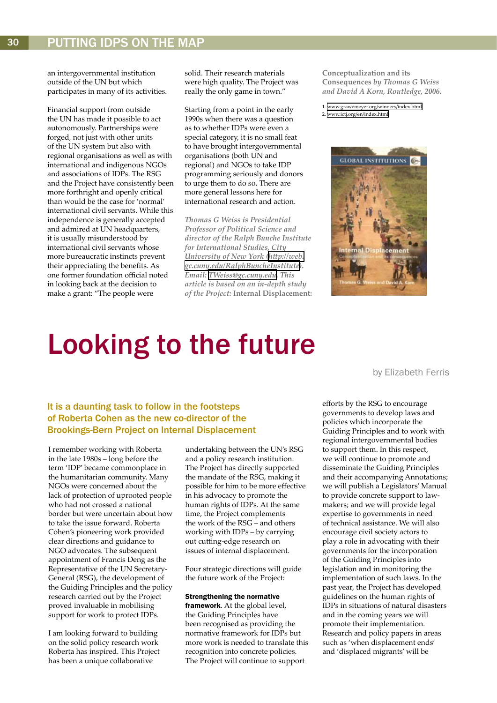## Looking to the future

by Elizabeth Ferris

## It is a daunting task to follow in the footsteps of Roberta Cohen as the new co-director of the Brookings-Bern Project on Internal Displacement

I remember working with Roberta in the late 1980s – long before the term 'IDP' became commonplace in the humanitarian community. Many NGOs were concerned about the lack of protection of uprooted people who had not crossed a national border but were uncertain about how to take the issue forward. Roberta Cohen's pioneering work provided clear directions and guidance to NGO advocates. The subsequent appointment of Francis Deng as the Representative of the UN Secretary-General (RSG), the development of the Guiding Principles and the policy research carried out by the Project proved invaluable in mobilising support for work to protect IDPs.

I am looking forward to building on the solid policy research work Roberta has inspired. This Project has been a unique collaborative

undertaking between the UN's RSG and a policy research institution. The Project has directly supported the mandate of the RSG, making it possible for him to be more effective in his advocacy to promote the human rights of IDPs. At the same time, the Project complements the work of the RSG – and others working with IDPs – by carrying out cutting-edge research on issues of internal displacement.

Four strategic directions will guide the future work of the Project:

## Strengthening the normative

**framework**. At the global level, the Guiding Principles have been recognised as providing the normative framework for IDPs but more work is needed to translate this recognition into concrete policies. The Project will continue to support

efforts by the RSG to encourage governments to develop laws and policies which incorporate the Guiding Principles and to work with regional intergovernmental bodies to support them. In this respect, we will continue to promote and disseminate the Guiding Principles and their accompanying Annotations; we will publish a Legislators' Manual to provide concrete support to lawmakers; and we will provide legal expertise to governments in need of technical assistance. We will also encourage civil society actors to play a role in advocating with their governments for the incorporation of the Guiding Principles into legislation and in monitoring the implementation of such laws. In the past year, the Project has developed guidelines on the human rights of IDPs in situations of natural disasters and in the coming years we will promote their implementation. Research and policy papers in areas such as 'when displacement ends' and 'displaced migrants' will be